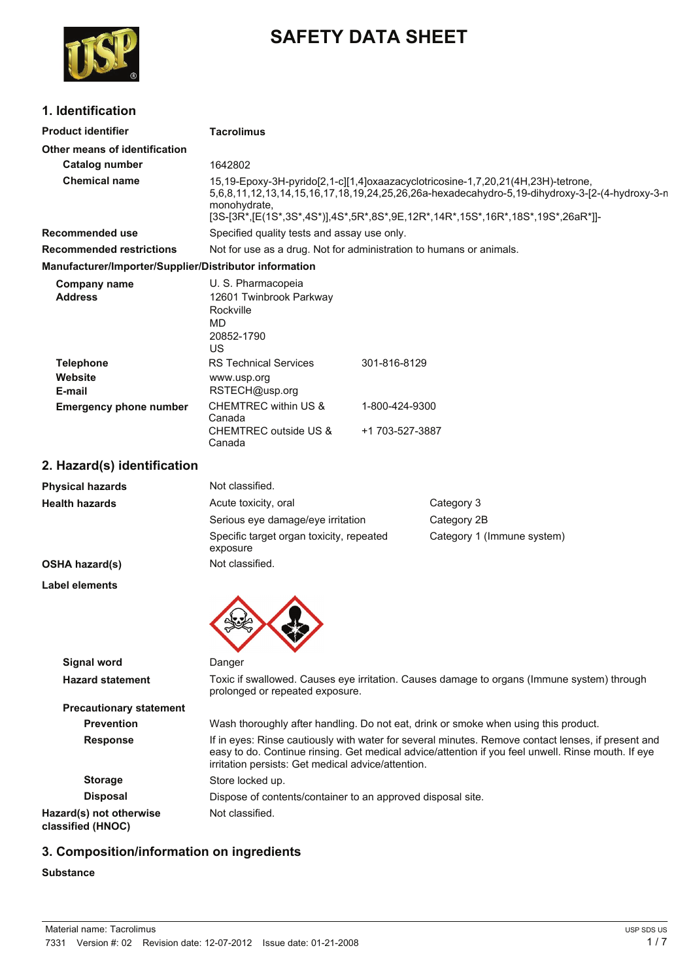

# **SAFETY DATA SHEET**

### **1. Identification**

| <b>Product identifier</b>                              | <b>Tacrolimus</b>                                                                                                                                                                                                                                                                     |                 |                                                                                     |
|--------------------------------------------------------|---------------------------------------------------------------------------------------------------------------------------------------------------------------------------------------------------------------------------------------------------------------------------------------|-----------------|-------------------------------------------------------------------------------------|
| Other means of identification                          |                                                                                                                                                                                                                                                                                       |                 |                                                                                     |
| <b>Catalog number</b>                                  | 1642802                                                                                                                                                                                                                                                                               |                 |                                                                                     |
| <b>Chemical name</b>                                   | 15,19-Epoxy-3H-pyrido[2,1-c][1,4]oxaazacyclotricosine-1,7,20,21(4H,23H)-tetrone,<br>5,6,8,11,12,13,14,15,16,17,18,19,24,25,26,26a-hexadecahydro-5,19-dihydroxy-3-[2-(4-hydroxy-3-n<br>monohydrate,<br>[3S-[3R*,[E(1S*,3S*,4S*)],4S*,5R*,8S*,9E,12R*,14R*,15S*,16R*,18S*,19S*,26aR*]]- |                 |                                                                                     |
| <b>Recommended use</b>                                 | Specified quality tests and assay use only.                                                                                                                                                                                                                                           |                 |                                                                                     |
| <b>Recommended restrictions</b>                        | Not for use as a drug. Not for administration to humans or animals.                                                                                                                                                                                                                   |                 |                                                                                     |
| Manufacturer/Importer/Supplier/Distributor information |                                                                                                                                                                                                                                                                                       |                 |                                                                                     |
| <b>Company name</b><br><b>Address</b>                  | U. S. Pharmacopeia<br>12601 Twinbrook Parkway<br>Rockville<br><b>MD</b><br>20852-1790<br><b>US</b>                                                                                                                                                                                    |                 |                                                                                     |
| <b>Telephone</b>                                       | <b>RS Technical Services</b>                                                                                                                                                                                                                                                          | 301-816-8129    |                                                                                     |
| Website                                                | www.usp.org                                                                                                                                                                                                                                                                           |                 |                                                                                     |
| E-mail                                                 | RSTECH@usp.org<br>CHEMTREC within US &                                                                                                                                                                                                                                                | 1-800-424-9300  |                                                                                     |
| <b>Emergency phone number</b>                          | Canada<br><b>CHEMTREC outside US &amp;</b><br>Canada                                                                                                                                                                                                                                  | +1 703-527-3887 |                                                                                     |
| 2. Hazard(s) identification                            |                                                                                                                                                                                                                                                                                       |                 |                                                                                     |
| <b>Physical hazards</b>                                | Not classified.                                                                                                                                                                                                                                                                       |                 |                                                                                     |
| <b>Health hazards</b>                                  | Acute toxicity, oral                                                                                                                                                                                                                                                                  |                 | Category 3                                                                          |
|                                                        | Serious eye damage/eye irritation                                                                                                                                                                                                                                                     |                 | Category 2B                                                                         |
|                                                        | Specific target organ toxicity, repeated<br>exposure                                                                                                                                                                                                                                  |                 | Category 1 (Immune system)                                                          |
| <b>OSHA hazard(s)</b>                                  | Not classified.                                                                                                                                                                                                                                                                       |                 |                                                                                     |
| <b>Label elements</b>                                  |                                                                                                                                                                                                                                                                                       |                 |                                                                                     |
|                                                        |                                                                                                                                                                                                                                                                                       |                 |                                                                                     |
| <b>Signal word</b>                                     | Danger                                                                                                                                                                                                                                                                                |                 |                                                                                     |
| <b>Hazard statement</b>                                | Toxic if swallowed. Causes eye irritation. Causes damage to organs (Immune system) through<br>prolonged or repeated exposure.                                                                                                                                                         |                 |                                                                                     |
| <b>Precautionary statement</b>                         |                                                                                                                                                                                                                                                                                       |                 |                                                                                     |
| <b>Prevention</b>                                      |                                                                                                                                                                                                                                                                                       |                 | Wash thoroughly after handling. Do not eat, drink or smoke when using this product. |
| <b>Response</b>                                        | If in eyes: Rinse cautiously with water for several minutes. Remove contact lenses, if present and<br>easy to do. Continue rinsing. Get medical advice/attention if you feel unwell. Rinse mouth. If eye<br>irritation persists: Get medical advice/attention.                        |                 |                                                                                     |
| <b>Storage</b>                                         | Store locked up.                                                                                                                                                                                                                                                                      |                 |                                                                                     |
| <b>Disposal</b>                                        | Dispose of contents/container to an approved disposal site.                                                                                                                                                                                                                           |                 |                                                                                     |
| Hazard(s) not otherwise<br>classified (HNOC)           | Not classified.                                                                                                                                                                                                                                                                       |                 |                                                                                     |

## **3. Composition/information on ingredients**

#### **Substance**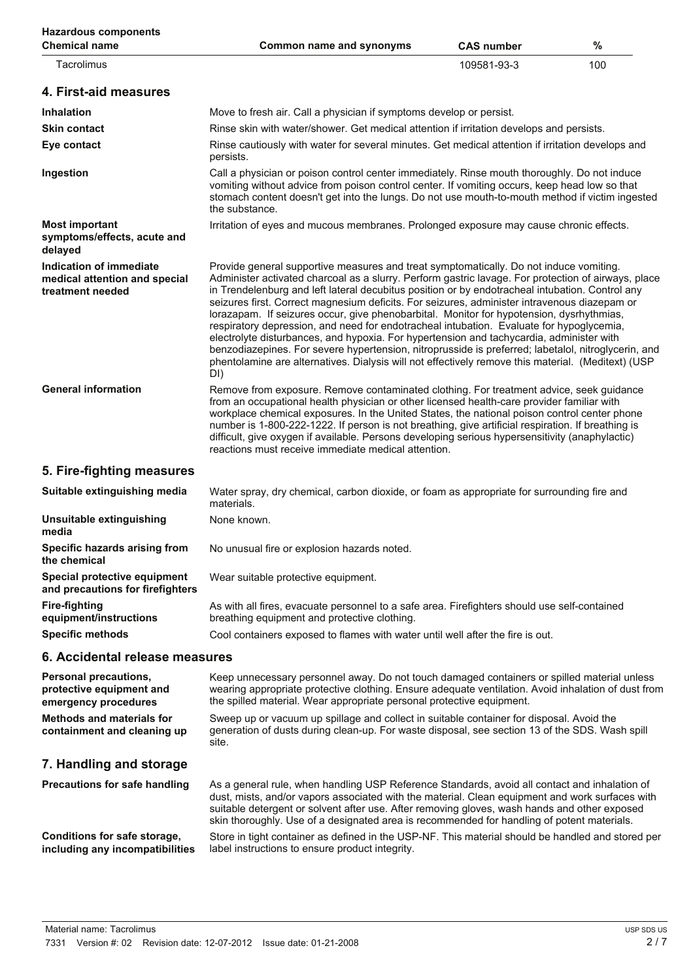| <b>Hazardous components</b><br><b>Chemical name</b>                          | Common name and synonyms                                                                                                                                                                                                                                                                                                                                                                                                                                                                                                                                                                                                                                                                                                                                                                                                                                                                                 | <b>CAS number</b> | %   |
|------------------------------------------------------------------------------|----------------------------------------------------------------------------------------------------------------------------------------------------------------------------------------------------------------------------------------------------------------------------------------------------------------------------------------------------------------------------------------------------------------------------------------------------------------------------------------------------------------------------------------------------------------------------------------------------------------------------------------------------------------------------------------------------------------------------------------------------------------------------------------------------------------------------------------------------------------------------------------------------------|-------------------|-----|
| Tacrolimus                                                                   |                                                                                                                                                                                                                                                                                                                                                                                                                                                                                                                                                                                                                                                                                                                                                                                                                                                                                                          | 109581-93-3       | 100 |
| 4. First-aid measures                                                        |                                                                                                                                                                                                                                                                                                                                                                                                                                                                                                                                                                                                                                                                                                                                                                                                                                                                                                          |                   |     |
| <b>Inhalation</b>                                                            | Move to fresh air. Call a physician if symptoms develop or persist.                                                                                                                                                                                                                                                                                                                                                                                                                                                                                                                                                                                                                                                                                                                                                                                                                                      |                   |     |
| <b>Skin contact</b>                                                          | Rinse skin with water/shower. Get medical attention if irritation develops and persists.                                                                                                                                                                                                                                                                                                                                                                                                                                                                                                                                                                                                                                                                                                                                                                                                                 |                   |     |
| Eye contact                                                                  | Rinse cautiously with water for several minutes. Get medical attention if irritation develops and<br>persists.                                                                                                                                                                                                                                                                                                                                                                                                                                                                                                                                                                                                                                                                                                                                                                                           |                   |     |
| Ingestion                                                                    | Call a physician or poison control center immediately. Rinse mouth thoroughly. Do not induce<br>vomiting without advice from poison control center. If vomiting occurs, keep head low so that<br>stomach content doesn't get into the lungs. Do not use mouth-to-mouth method if victim ingested<br>the substance.                                                                                                                                                                                                                                                                                                                                                                                                                                                                                                                                                                                       |                   |     |
| <b>Most important</b><br>symptoms/effects, acute and<br>delayed              | Irritation of eyes and mucous membranes. Prolonged exposure may cause chronic effects.                                                                                                                                                                                                                                                                                                                                                                                                                                                                                                                                                                                                                                                                                                                                                                                                                   |                   |     |
| Indication of immediate<br>medical attention and special<br>treatment needed | Provide general supportive measures and treat symptomatically. Do not induce vomiting.<br>Administer activated charcoal as a slurry. Perform gastric lavage. For protection of airways, place<br>in Trendelenburg and left lateral decubitus position or by endotracheal intubation. Control any<br>seizures first. Correct magnesium deficits. For seizures, administer intravenous diazepam or<br>lorazapam. If seizures occur, give phenobarbital. Monitor for hypotension, dysrhythmias,<br>respiratory depression, and need for endotracheal intubation. Evaluate for hypoglycemia,<br>electrolyte disturbances, and hypoxia. For hypertension and tachycardia, administer with<br>benzodiazepines. For severe hypertension, nitroprusside is preferred; labetalol, nitroglycerin, and<br>phentolamine are alternatives. Dialysis will not effectively remove this material. (Meditext) (USP<br>DI) |                   |     |
| <b>General information</b>                                                   | Remove from exposure. Remove contaminated clothing. For treatment advice, seek guidance<br>from an occupational health physician or other licensed health-care provider familiar with<br>workplace chemical exposures. In the United States, the national poison control center phone<br>number is 1-800-222-1222. If person is not breathing, give artificial respiration. If breathing is<br>difficult, give oxygen if available. Persons developing serious hypersensitivity (anaphylactic)<br>reactions must receive immediate medical attention.                                                                                                                                                                                                                                                                                                                                                    |                   |     |
| 5. Fire-fighting measures                                                    |                                                                                                                                                                                                                                                                                                                                                                                                                                                                                                                                                                                                                                                                                                                                                                                                                                                                                                          |                   |     |
| Suitable extinguishing media                                                 | Water spray, dry chemical, carbon dioxide, or foam as appropriate for surrounding fire and<br>materials.                                                                                                                                                                                                                                                                                                                                                                                                                                                                                                                                                                                                                                                                                                                                                                                                 |                   |     |
| Unsuitable extinguishing<br>media                                            | None known.                                                                                                                                                                                                                                                                                                                                                                                                                                                                                                                                                                                                                                                                                                                                                                                                                                                                                              |                   |     |
| Specific hazards arising from<br>the chemical                                | No unusual fire or explosion hazards noted.                                                                                                                                                                                                                                                                                                                                                                                                                                                                                                                                                                                                                                                                                                                                                                                                                                                              |                   |     |
| Special protective equipment<br>and precautions for firefighters             | Wear suitable protective equipment.                                                                                                                                                                                                                                                                                                                                                                                                                                                                                                                                                                                                                                                                                                                                                                                                                                                                      |                   |     |
| <b>Fire-fighting</b><br>equipment/instructions                               | As with all fires, evacuate personnel to a safe area. Firefighters should use self-contained<br>breathing equipment and protective clothing.                                                                                                                                                                                                                                                                                                                                                                                                                                                                                                                                                                                                                                                                                                                                                             |                   |     |
| <b>Specific methods</b>                                                      | Cool containers exposed to flames with water until well after the fire is out.                                                                                                                                                                                                                                                                                                                                                                                                                                                                                                                                                                                                                                                                                                                                                                                                                           |                   |     |
| 6. Accidental release measures                                               |                                                                                                                                                                                                                                                                                                                                                                                                                                                                                                                                                                                                                                                                                                                                                                                                                                                                                                          |                   |     |
| Personal precautions,<br>protective equipment and<br>emergency procedures    | Keep unnecessary personnel away. Do not touch damaged containers or spilled material unless<br>wearing appropriate protective clothing. Ensure adequate ventilation. Avoid inhalation of dust from<br>the spilled material. Wear appropriate personal protective equipment.                                                                                                                                                                                                                                                                                                                                                                                                                                                                                                                                                                                                                              |                   |     |
| <b>Methods and materials for</b><br>containment and cleaning up              | Sweep up or vacuum up spillage and collect in suitable container for disposal. Avoid the<br>generation of dusts during clean-up. For waste disposal, see section 13 of the SDS. Wash spill<br>site.                                                                                                                                                                                                                                                                                                                                                                                                                                                                                                                                                                                                                                                                                                      |                   |     |
| 7. Handling and storage                                                      |                                                                                                                                                                                                                                                                                                                                                                                                                                                                                                                                                                                                                                                                                                                                                                                                                                                                                                          |                   |     |
| <b>Precautions for safe handling</b>                                         | As a general rule, when handling USP Reference Standards, avoid all contact and inhalation of<br>dust, mists, and/or vapors associated with the material. Clean equipment and work surfaces with<br>suitable detergent or solvent after use. After removing gloves, wash hands and other exposed<br>skin thoroughly. Use of a designated area is recommended for handling of potent materials.                                                                                                                                                                                                                                                                                                                                                                                                                                                                                                           |                   |     |
| Conditions for safe storage,<br>including any incompatibilities              | Store in tight container as defined in the USP-NF. This material should be handled and stored per<br>label instructions to ensure product integrity.                                                                                                                                                                                                                                                                                                                                                                                                                                                                                                                                                                                                                                                                                                                                                     |                   |     |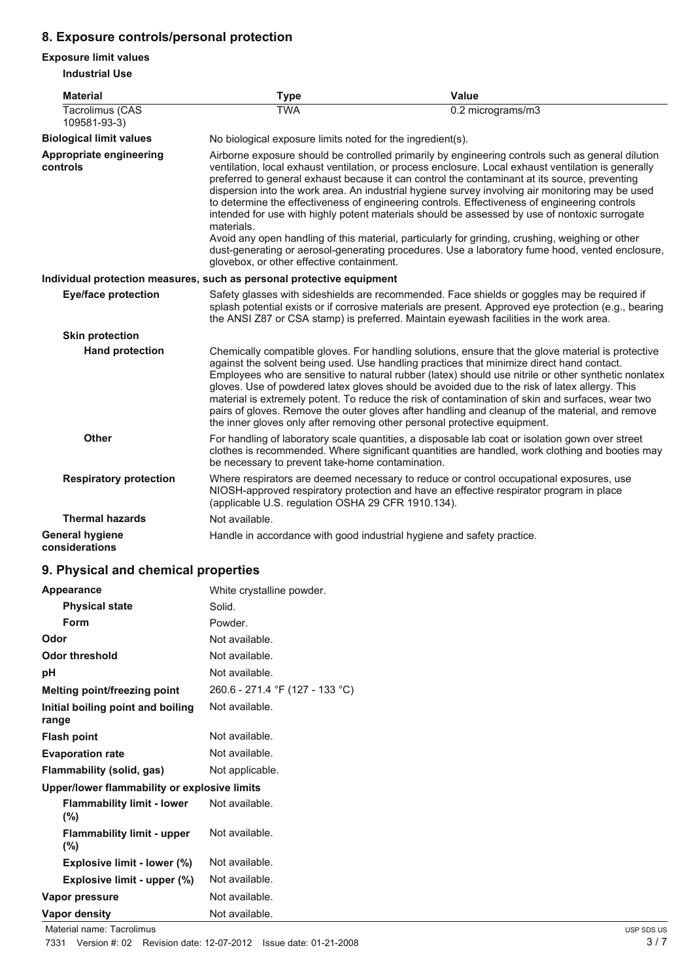### **8. Exposure controls/personal protection**

#### **Exposure limit values**

**Industrial Use**

| <b>Material</b>                          | <b>Type</b>                                                            | Value                                                                                                                                                                                                                                                                                                                                                                                                                                                                                                                                                                                                                                                                                                                                                                                                                   |  |
|------------------------------------------|------------------------------------------------------------------------|-------------------------------------------------------------------------------------------------------------------------------------------------------------------------------------------------------------------------------------------------------------------------------------------------------------------------------------------------------------------------------------------------------------------------------------------------------------------------------------------------------------------------------------------------------------------------------------------------------------------------------------------------------------------------------------------------------------------------------------------------------------------------------------------------------------------------|--|
| Tacrolimus (CAS<br>109581-93-3)          | <b>TWA</b>                                                             | 0.2 micrograms/m3                                                                                                                                                                                                                                                                                                                                                                                                                                                                                                                                                                                                                                                                                                                                                                                                       |  |
| <b>Biological limit values</b>           | No biological exposure limits noted for the ingredient(s).             |                                                                                                                                                                                                                                                                                                                                                                                                                                                                                                                                                                                                                                                                                                                                                                                                                         |  |
| Appropriate engineering<br>controls      | materials.<br>glovebox, or other effective containment.                | Airborne exposure should be controlled primarily by engineering controls such as general dilution<br>ventilation, local exhaust ventilation, or process enclosure. Local exhaust ventilation is generally<br>preferred to general exhaust because it can control the contaminant at its source, preventing<br>dispersion into the work area. An industrial hygiene survey involving air monitoring may be used<br>to determine the effectiveness of engineering controls. Effectiveness of engineering controls<br>intended for use with highly potent materials should be assessed by use of nontoxic surrogate<br>Avoid any open handling of this material, particularly for grinding, crushing, weighing or other<br>dust-generating or aerosol-generating procedures. Use a laboratory fume hood, vented enclosure, |  |
|                                          | Individual protection measures, such as personal protective equipment  |                                                                                                                                                                                                                                                                                                                                                                                                                                                                                                                                                                                                                                                                                                                                                                                                                         |  |
| <b>Eye/face protection</b>               |                                                                        | Safety glasses with sideshields are recommended. Face shields or goggles may be required if<br>splash potential exists or if corrosive materials are present. Approved eye protection (e.g., bearing<br>the ANSI Z87 or CSA stamp) is preferred. Maintain eyewash facilities in the work area.                                                                                                                                                                                                                                                                                                                                                                                                                                                                                                                          |  |
| <b>Skin protection</b>                   |                                                                        |                                                                                                                                                                                                                                                                                                                                                                                                                                                                                                                                                                                                                                                                                                                                                                                                                         |  |
| <b>Hand protection</b>                   |                                                                        | Chemically compatible gloves. For handling solutions, ensure that the glove material is protective<br>against the solvent being used. Use handling practices that minimize direct hand contact.<br>Employees who are sensitive to natural rubber (latex) should use nitrile or other synthetic nonlatex<br>gloves. Use of powdered latex gloves should be avoided due to the risk of latex allergy. This<br>material is extremely potent. To reduce the risk of contamination of skin and surfaces, wear two<br>pairs of gloves. Remove the outer gloves after handling and cleanup of the material, and remove<br>the inner gloves only after removing other personal protective equipment.                                                                                                                            |  |
| Other                                    | be necessary to prevent take-home contamination.                       | For handling of laboratory scale quantities, a disposable lab coat or isolation gown over street<br>clothes is recommended. Where significant quantities are handled, work clothing and booties may                                                                                                                                                                                                                                                                                                                                                                                                                                                                                                                                                                                                                     |  |
| <b>Respiratory protection</b>            | (applicable U.S. regulation OSHA 29 CFR 1910.134).                     | Where respirators are deemed necessary to reduce or control occupational exposures, use<br>NIOSH-approved respiratory protection and have an effective respirator program in place                                                                                                                                                                                                                                                                                                                                                                                                                                                                                                                                                                                                                                      |  |
| <b>Thermal hazards</b>                   | Not available.                                                         |                                                                                                                                                                                                                                                                                                                                                                                                                                                                                                                                                                                                                                                                                                                                                                                                                         |  |
| <b>General hygiene</b><br>considerations | Handle in accordance with good industrial hygiene and safety practice. |                                                                                                                                                                                                                                                                                                                                                                                                                                                                                                                                                                                                                                                                                                                                                                                                                         |  |

### **9. Physical and chemical properties**

| Appearance                                   | White crystalline powder.       |
|----------------------------------------------|---------------------------------|
| <b>Physical state</b>                        | Solid.                          |
| Form                                         | Powder.                         |
| Odor                                         | Not available.                  |
| <b>Odor threshold</b>                        | Not available.                  |
| рH                                           | Not available.                  |
| Melting point/freezing point                 | 260.6 - 271.4 °F (127 - 133 °C) |
| Initial boiling point and boiling<br>range   | Not available.                  |
| <b>Flash point</b>                           | Not available.                  |
| <b>Evaporation rate</b>                      | Not available.                  |
| Flammability (solid, gas)                    | Not applicable.                 |
| Upper/lower flammability or explosive limits |                                 |
| <b>Flammability limit - lower</b><br>$(\%)$  | Not available.                  |
| <b>Flammability limit - upper</b><br>$(\%)$  | Not available.                  |
| Explosive limit - lower (%)                  | Not available.                  |
| Explosive limit - upper (%)                  | Not available.                  |
| Vapor pressure                               | Not available.                  |
| Vapor density                                | Not available.                  |

Material name: Tacrolimus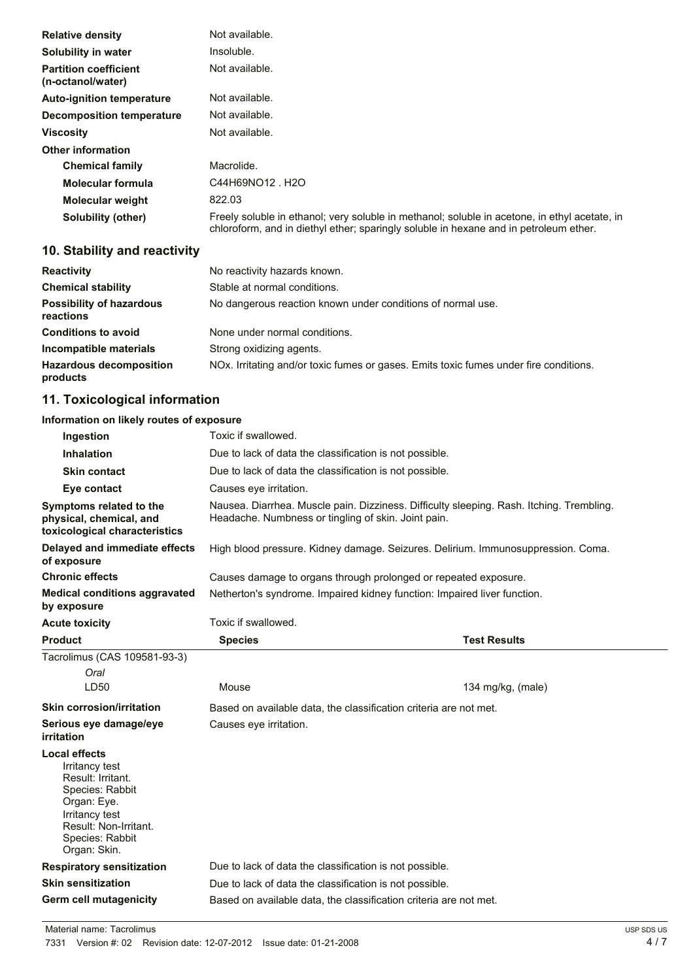| <b>Relative density</b>                           | Not available.                                                                                                                                                                         |
|---------------------------------------------------|----------------------------------------------------------------------------------------------------------------------------------------------------------------------------------------|
| Solubility in water                               | Insoluble.                                                                                                                                                                             |
| <b>Partition coefficient</b><br>(n-octanol/water) | Not available.                                                                                                                                                                         |
| <b>Auto-ignition temperature</b>                  | Not available.                                                                                                                                                                         |
| Decomposition temperature                         | Not available.                                                                                                                                                                         |
| <b>Viscosity</b>                                  | Not available.                                                                                                                                                                         |
| <b>Other information</b>                          |                                                                                                                                                                                        |
| <b>Chemical family</b>                            | Macrolide.                                                                                                                                                                             |
| Molecular formula                                 | C44H69NO12 H2O                                                                                                                                                                         |
| <b>Molecular weight</b>                           | 822.03                                                                                                                                                                                 |
| Solubility (other)                                | Freely soluble in ethanol; very soluble in methanol; soluble in acetone, in ethyl acetate, in<br>chloroform, and in diethyl ether; sparingly soluble in hexane and in petroleum ether. |

### **10. Stability and reactivity**

| <b>Reactivity</b>                            | No reactivity hazards known.                                                                       |
|----------------------------------------------|----------------------------------------------------------------------------------------------------|
| <b>Chemical stability</b>                    | Stable at normal conditions.                                                                       |
| <b>Possibility of hazardous</b><br>reactions | No dangerous reaction known under conditions of normal use.                                        |
| <b>Conditions to avoid</b>                   | None under normal conditions.                                                                      |
| Incompatible materials                       | Strong oxidizing agents.                                                                           |
| <b>Hazardous decomposition</b><br>products   | NO <sub>x</sub> . Irritating and/or toxic fumes or gases. Emits toxic fumes under fire conditions. |

### **11. Toxicological information**

### **Information on likely routes of exposure**

| Ingestion                                                                                                                                                                   | Toxic if swallowed.                                                                                                                             |                     |  |
|-----------------------------------------------------------------------------------------------------------------------------------------------------------------------------|-------------------------------------------------------------------------------------------------------------------------------------------------|---------------------|--|
| <b>Inhalation</b>                                                                                                                                                           | Due to lack of data the classification is not possible.                                                                                         |                     |  |
| <b>Skin contact</b>                                                                                                                                                         | Due to lack of data the classification is not possible.                                                                                         |                     |  |
| Eye contact                                                                                                                                                                 | Causes eye irritation.                                                                                                                          |                     |  |
| Symptoms related to the<br>physical, chemical, and<br>toxicological characteristics                                                                                         | Nausea. Diarrhea. Muscle pain. Dizziness. Difficulty sleeping. Rash. Itching. Trembling.<br>Headache. Numbness or tingling of skin. Joint pain. |                     |  |
| Delayed and immediate effects<br>of exposure                                                                                                                                | High blood pressure. Kidney damage. Seizures. Delirium. Immunosuppression. Coma.                                                                |                     |  |
| <b>Chronic effects</b>                                                                                                                                                      | Causes damage to organs through prolonged or repeated exposure.                                                                                 |                     |  |
| <b>Medical conditions aggravated</b><br>by exposure                                                                                                                         | Netherton's syndrome. Impaired kidney function: Impaired liver function.                                                                        |                     |  |
| <b>Acute toxicity</b>                                                                                                                                                       | Toxic if swallowed.                                                                                                                             |                     |  |
| <b>Product</b>                                                                                                                                                              | <b>Species</b>                                                                                                                                  | <b>Test Results</b> |  |
| Tacrolimus (CAS 109581-93-3)                                                                                                                                                |                                                                                                                                                 |                     |  |
| Oral                                                                                                                                                                        |                                                                                                                                                 |                     |  |
| LD50                                                                                                                                                                        | Mouse                                                                                                                                           | 134 mg/kg, $(male)$ |  |
| <b>Skin corrosion/irritation</b>                                                                                                                                            | Based on available data, the classification criteria are not met.                                                                               |                     |  |
| Serious eye damage/eye<br>irritation                                                                                                                                        | Causes eye irritation.                                                                                                                          |                     |  |
| <b>Local effects</b><br>Irritancy test<br>Result: Irritant.<br>Species: Rabbit<br>Organ: Eye.<br>Irritancy test<br>Result: Non-Irritant.<br>Species: Rabbit<br>Organ: Skin. |                                                                                                                                                 |                     |  |
| <b>Respiratory sensitization</b>                                                                                                                                            | Due to lack of data the classification is not possible.                                                                                         |                     |  |
| <b>Skin sensitization</b>                                                                                                                                                   | Due to lack of data the classification is not possible.                                                                                         |                     |  |
| Germ cell mutagenicity                                                                                                                                                      | Based on available data, the classification criteria are not met.                                                                               |                     |  |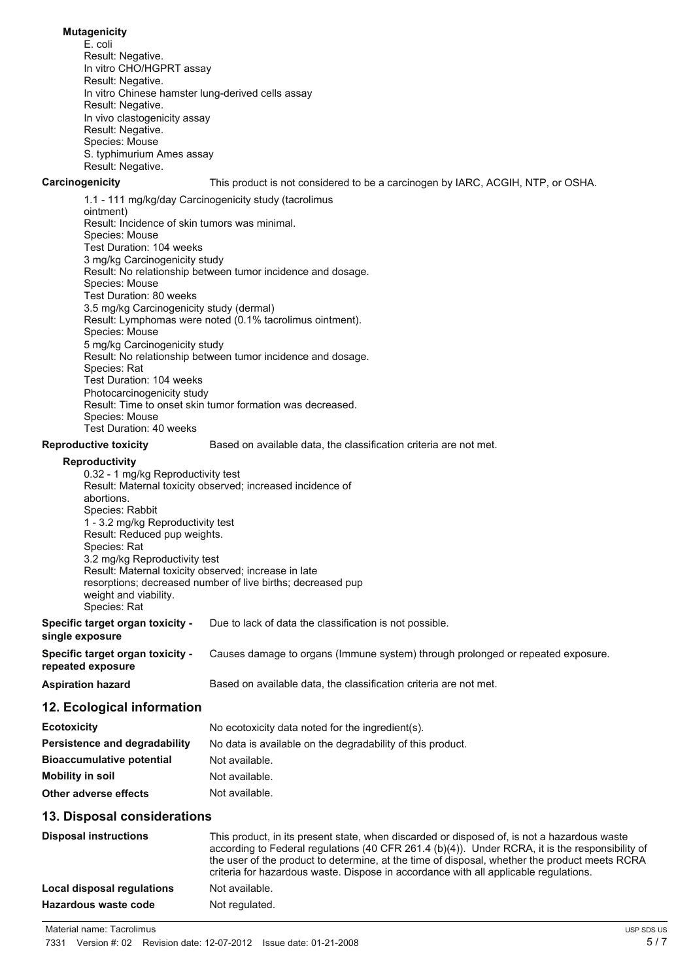#### **Mutagenicity**

E. coli Result: Negative. In vitro CHO/HGPRT assay Result: Negative. In vitro Chinese hamster lung-derived cells assay Result: Negative. In vivo clastogenicity assay Result: Negative. Species: Mouse S. typhimurium Ames assay Result: Negative.

**Carcinogenicity** This product is not considered to be a carcinogen by IARC, ACGIH, NTP, or OSHA.

1.1 - 111 mg/kg/day Carcinogenicity study (tacrolimus ointment) Result: Incidence of skin tumors was minimal. Species: Mouse Test Duration: 104 weeks 3 mg/kg Carcinogenicity study Result: No relationship between tumor incidence and dosage. Species: Mouse Test Duration: 80 weeks 3.5 mg/kg Carcinogenicity study (dermal) Result: Lymphomas were noted (0.1% tacrolimus ointment). Species: Mouse 5 mg/kg Carcinogenicity study Result: No relationship between tumor incidence and dosage. Species: Rat Test Duration: 104 weeks Photocarcinogenicity study Result: Time to onset skin tumor formation was decreased. Species: Mouse Test Duration: 40 weeks

#### **Reproductive toxicity** Based on available data, the classification criteria are not met.

#### **Reproductivity**

| <b>Reproductivity</b>                                |                                                                                 |
|------------------------------------------------------|---------------------------------------------------------------------------------|
| 0.32 - 1 mg/kg Reproductivity test                   |                                                                                 |
|                                                      | Result: Maternal toxicity observed; increased incidence of                      |
| abortions.                                           |                                                                                 |
| Species: Rabbit                                      |                                                                                 |
| 1 - 3.2 mg/kg Reproductivity test                    |                                                                                 |
| Result: Reduced pup weights.                         |                                                                                 |
| Species: Rat                                         |                                                                                 |
| 3.2 mg/kg Reproductivity test                        |                                                                                 |
| Result: Maternal toxicity observed; increase in late |                                                                                 |
|                                                      | resorptions; decreased number of live births; decreased pup                     |
| weight and viability.                                |                                                                                 |
| Species: Rat                                         |                                                                                 |
| Specific target organ toxicity -                     | Due to lack of data the classification is not possible.                         |
| single exposure                                      |                                                                                 |
| Specific target organ toxicity -                     | Causes damage to organs (Immune system) through prolonged or repeated exposure. |
| repeated exposure                                    |                                                                                 |
| <b>Aspiration hazard</b>                             | Based on available data, the classification criteria are not met.               |
| 12 Ecological information                            |                                                                                 |

#### **12. Ecological information**

| <b>Ecotoxicity</b>               | No ecotoxicity data noted for the ingredient(s).           |
|----------------------------------|------------------------------------------------------------|
| Persistence and degradability    | No data is available on the degradability of this product. |
| <b>Bioaccumulative potential</b> | Not available.                                             |
| Mobility in soil                 | Not available.                                             |
| Other adverse effects            | Not available.                                             |

#### **13. Disposal considerations**

| <b>Disposal instructions</b> | This product, in its present state, when discarded or disposed of, is not a hazardous waste<br>according to Federal regulations (40 CFR 261.4 (b)(4)). Under RCRA, it is the responsibility of<br>the user of the product to determine, at the time of disposal, whether the product meets RCRA<br>criteria for hazardous waste. Dispose in accordance with all applicable requiations. |
|------------------------------|-----------------------------------------------------------------------------------------------------------------------------------------------------------------------------------------------------------------------------------------------------------------------------------------------------------------------------------------------------------------------------------------|
| Local disposal regulations   | Not available.                                                                                                                                                                                                                                                                                                                                                                          |
| Hazardous waste code         | Not regulated.                                                                                                                                                                                                                                                                                                                                                                          |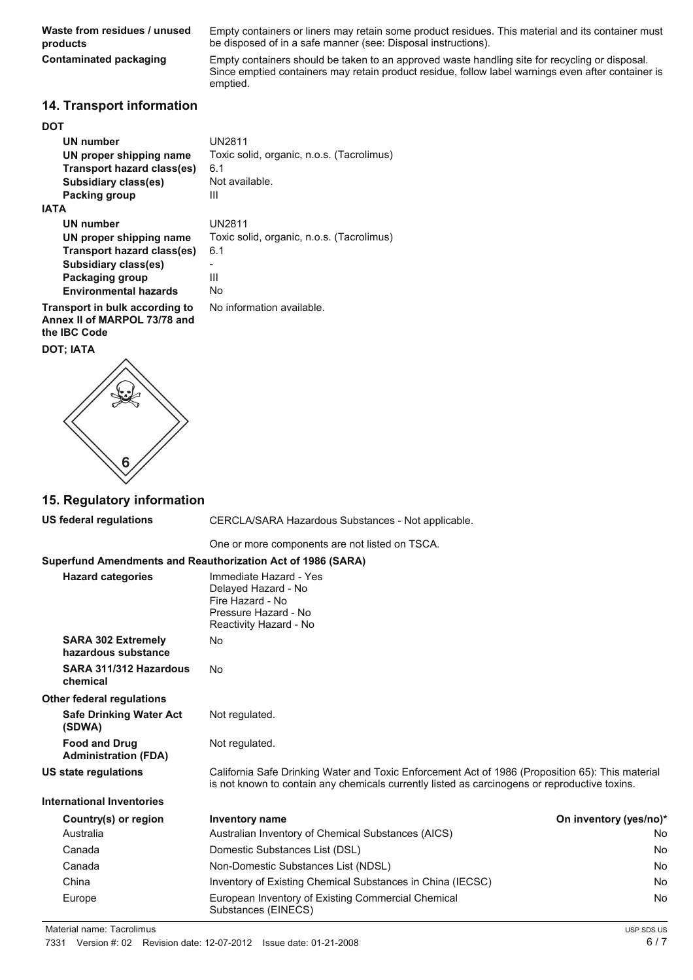**Waste from residues / unused products**

Empty containers or liners may retain some product residues. This material and its container must be disposed of in a safe manner (see: Disposal instructions).

**Contaminated packaging** Empty containers should be taken to an approved waste handling site for recycling or disposal. Since emptied containers may retain product residue, follow label warnings even after container is emptied.

#### **14. Transport information**

#### **DOT**

| UN number<br>UN proper shipping name | UN2811<br>Toxic solid, organic, n.o.s. (Tacrolimus) |
|--------------------------------------|-----------------------------------------------------|
| Transport hazard class(es)           | 6.1                                                 |
| Subsidiary class(es)                 | Not available.                                      |
| Packing group                        | Ш                                                   |
|                                      |                                                     |

#### **IATA**

**UN number** UN2811 **UN proper shipping name** Toxic solid, organic, n.o.s. (Tacrolimus) **Transport hazard class(es)** 6.1 Subsidiary class(es) **Packaging group** III **Environmental hazards** No

No information available.

**Transport in bulk according to Annex II of MARPOL 73/78 and the IBC Code**

**DOT; IATA**



#### **15. Regulatory information**

**US federal regulations** CERCLA/SARA Hazardous Substances - Not applicable.

One or more components are not listed on TSCA.

#### **Superfund Amendments and Reauthorization Act of 1986 (SARA)**

|                                                     | 0.10.10 / 1.110.10.110.110 and Nouathon Lation Aot 0. 1999 (9/1191)                                                                                                                               |                        |
|-----------------------------------------------------|---------------------------------------------------------------------------------------------------------------------------------------------------------------------------------------------------|------------------------|
| <b>Hazard categories</b>                            | Immediate Hazard - Yes<br>Delayed Hazard - No<br>Fire Hazard - No<br>Pressure Hazard - No<br>Reactivity Hazard - No                                                                               |                        |
| <b>SARA 302 Extremely</b><br>hazardous substance    | No                                                                                                                                                                                                |                        |
| SARA 311/312 Hazardous<br>chemical                  | <b>No</b>                                                                                                                                                                                         |                        |
| Other federal regulations                           |                                                                                                                                                                                                   |                        |
| <b>Safe Drinking Water Act</b><br>(SDWA)            | Not regulated.                                                                                                                                                                                    |                        |
| <b>Food and Drug</b><br><b>Administration (FDA)</b> | Not regulated.                                                                                                                                                                                    |                        |
| US state regulations                                | California Safe Drinking Water and Toxic Enforcement Act of 1986 (Proposition 65): This material<br>is not known to contain any chemicals currently listed as carcinogens or reproductive toxins. |                        |
| <b>International Inventories</b>                    |                                                                                                                                                                                                   |                        |
| Country(s) or region                                | <b>Inventory name</b>                                                                                                                                                                             | On inventory (yes/no)* |
| Australia                                           | Australian Inventory of Chemical Substances (AICS)                                                                                                                                                | No                     |
| Canada                                              | Domestic Substances List (DSL)                                                                                                                                                                    | No                     |
| Canada                                              | Non-Domestic Substances List (NDSL)                                                                                                                                                               | No                     |
| China                                               | Inventory of Existing Chemical Substances in China (IECSC)                                                                                                                                        | No                     |
| Europe                                              | European Inventory of Existing Commercial Chemical<br>Substances (EINECS)                                                                                                                         | No                     |